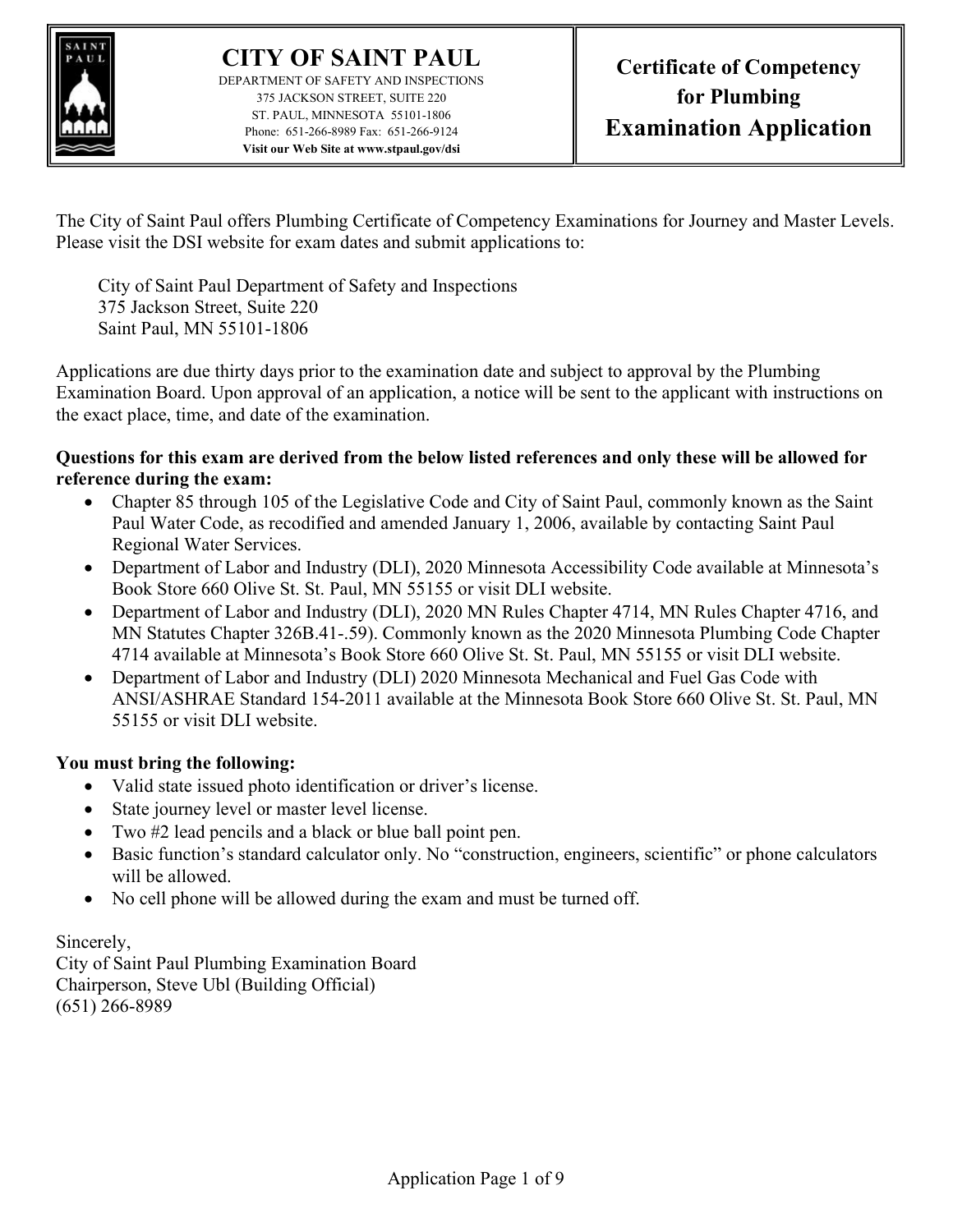

DEPARTMENT OF SAFETY AND INSPECTIONS 375 JACKSON STREET, SUITE 220 ST. PAUL, MINNESOTA 55101-1806 Phone: 651-266-8989 Fax: 651-266-9124 Visit our Web Site at www.stpaul.gov/dsi

The City of Saint Paul offers Plumbing Certificate of Competency Examinations for Journey and Master Levels. Please visit the DSI website for exam dates and submit applications to:

City of Saint Paul Department of Safety and Inspections 375 Jackson Street, Suite 220 Saint Paul, MN 55101-1806

Applications are due thirty days prior to the examination date and subject to approval by the Plumbing Examination Board. Upon approval of an application, a notice will be sent to the applicant with instructions on the exact place, time, and date of the examination.

#### Questions for this exam are derived from the below listed references and only these will be allowed for reference during the exam:

- Chapter 85 through 105 of the Legislative Code and City of Saint Paul, commonly known as the Saint Paul Water Code, as recodified and amended January 1, 2006, available by contacting Saint Paul Regional Water Services.
- Department of Labor and Industry (DLI), 2020 Minnesota Accessibility Code available at Minnesota's Book Store 660 Olive St. St. Paul, MN 55155 or visit DLI website.
- Department of Labor and Industry (DLI), 2020 MN Rules Chapter 4714, MN Rules Chapter 4716, and MN Statutes Chapter 326B.41-.59). Commonly known as the 2020 Minnesota Plumbing Code Chapter 4714 available at Minnesota's Book Store 660 Olive St. St. Paul, MN 55155 or visit DLI website.
- Department of Labor and Industry (DLI) 2020 Minnesota Mechanical and Fuel Gas Code with ANSI/ASHRAE Standard 154-2011 available at the Minnesota Book Store 660 Olive St. St. Paul, MN 55155 or visit DLI website.

#### You must bring the following:

- Valid state issued photo identification or driver's license.
- State journey level or master level license.
- Two #2 lead pencils and a black or blue ball point pen.
- Basic function's standard calculator only. No "construction, engineers, scientific" or phone calculators will be allowed.
- No cell phone will be allowed during the exam and must be turned off.

## Sincerely,

City of Saint Paul Plumbing Examination Board Chairperson, Steve Ubl (Building Official) (651) 266-8989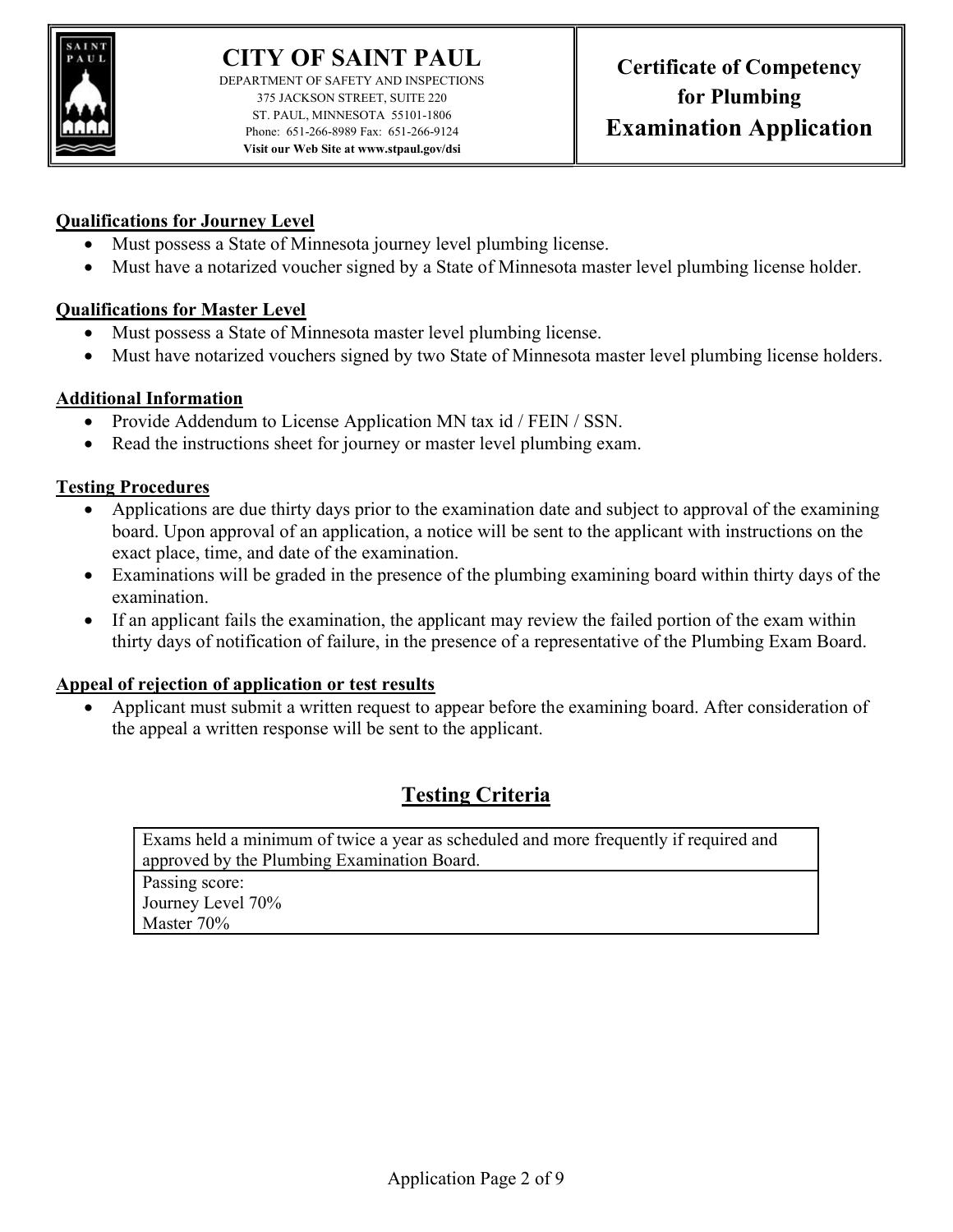

DEPARTMENT OF SAFETY AND INSPECTIONS 375 JACKSON STREET, SUITE 220 ST. PAUL, MINNESOTA 55101-1806 Phone: 651-266-8989 Fax: 651-266-9124 Visit our Web Site at www.stpaul.gov/dsi

#### Qualifications for Journey Level

- Must possess a State of Minnesota journey level plumbing license.
- Must have a notarized voucher signed by a State of Minnesota master level plumbing license holder.

#### Qualifications for Master Level

- Must possess a State of Minnesota master level plumbing license.
- Must have notarized vouchers signed by two State of Minnesota master level plumbing license holders.

#### Additional Information

- Provide Addendum to License Application MN tax id / FEIN / SSN.
- Read the instructions sheet for journey or master level plumbing exam.

#### Testing Procedures

- Applications are due thirty days prior to the examination date and subject to approval of the examining board. Upon approval of an application, a notice will be sent to the applicant with instructions on the exact place, time, and date of the examination.
- Examinations will be graded in the presence of the plumbing examining board within thirty days of the examination.
- If an applicant fails the examination, the applicant may review the failed portion of the exam within thirty days of notification of failure, in the presence of a representative of the Plumbing Exam Board.

#### Appeal of rejection of application or test results

 Applicant must submit a written request to appear before the examining board. After consideration of the appeal a written response will be sent to the applicant.

## Testing Criteria

Exams held a minimum of twice a year as scheduled and more frequently if required and approved by the Plumbing Examination Board. Passing score: Journey Level 70% Master 70%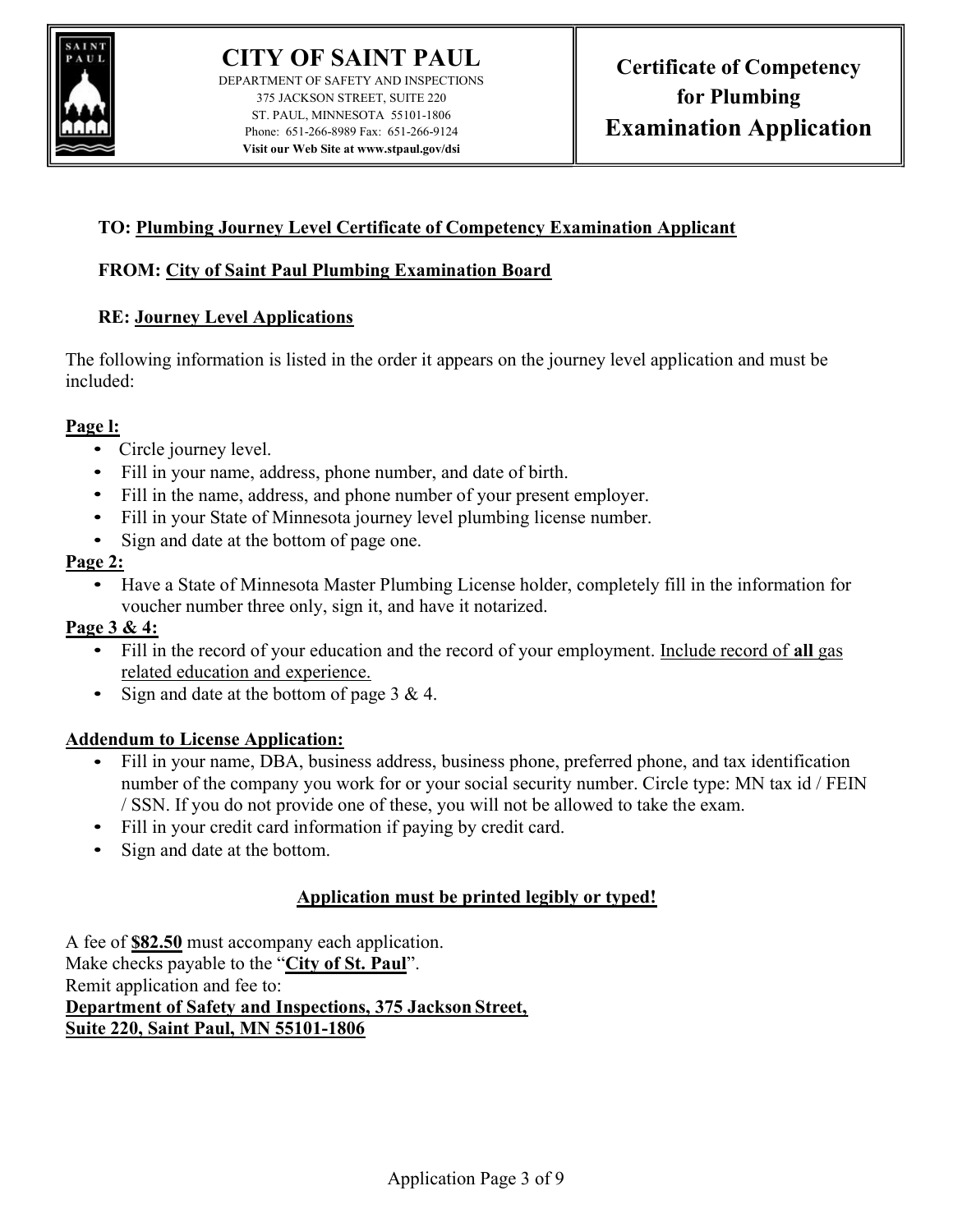

DEPARTMENT OF SAFETY AND INSPECTIONS 375 JACKSON STREET, SUITE 220 ST. PAUL, MINNESOTA 55101-1806 Phone: 651-266-8989 Fax: 651-266-9124 Visit our Web Site at www.stpaul.gov/dsi

### TO: Plumbing Journey Level Certificate of Competency Examination Applicant

#### FROM: City of Saint Paul Plumbing Examination Board

#### RE: Journey Level Applications

The following information is listed in the order it appears on the journey level application and must be included:

- 
- 
- **Page 1:**<br>
Circle journey level.<br>
Fill in your name, address, phone number, and date of birth.<br>
Fill in the name, address, and phone number of your present employer.<br>
Fill in your State of Minnesota journey level
	-
	-

**Page 2:**<br>• Have a State of Minnesota Master Plumbing License holder, completely fill in the information for voucher number three only, sign it, and have it notarized.

- **Page 3 & 4:**<br>• Fill in the record of your education and the record of your employment. Include record of all gas related education and experience.<br>• Sign and date at the bottom of page 3 & 4.
	-

- Addendum to License Application:<br>• Fill in your name, DBA, business address, business phone, preferred phone, and tax identification number of the company you work for or your social security number. Circle type: MN tax id / FEIN / SSN. If you do not provide one of these, you will not be allowed to take the exam. • Fill in your credit card information if paying by credit card. • Sign and date at the bottom.
	-
	-

### Application must be printed legibly or typed!

A fee of \$82.50 must accompany each application. Make checks payable to the "City of St. Paul". Remit application and fee to: Department of Safety and Inspections, 375 Jackson Street, Suite 220, Saint Paul, MN 55101-1806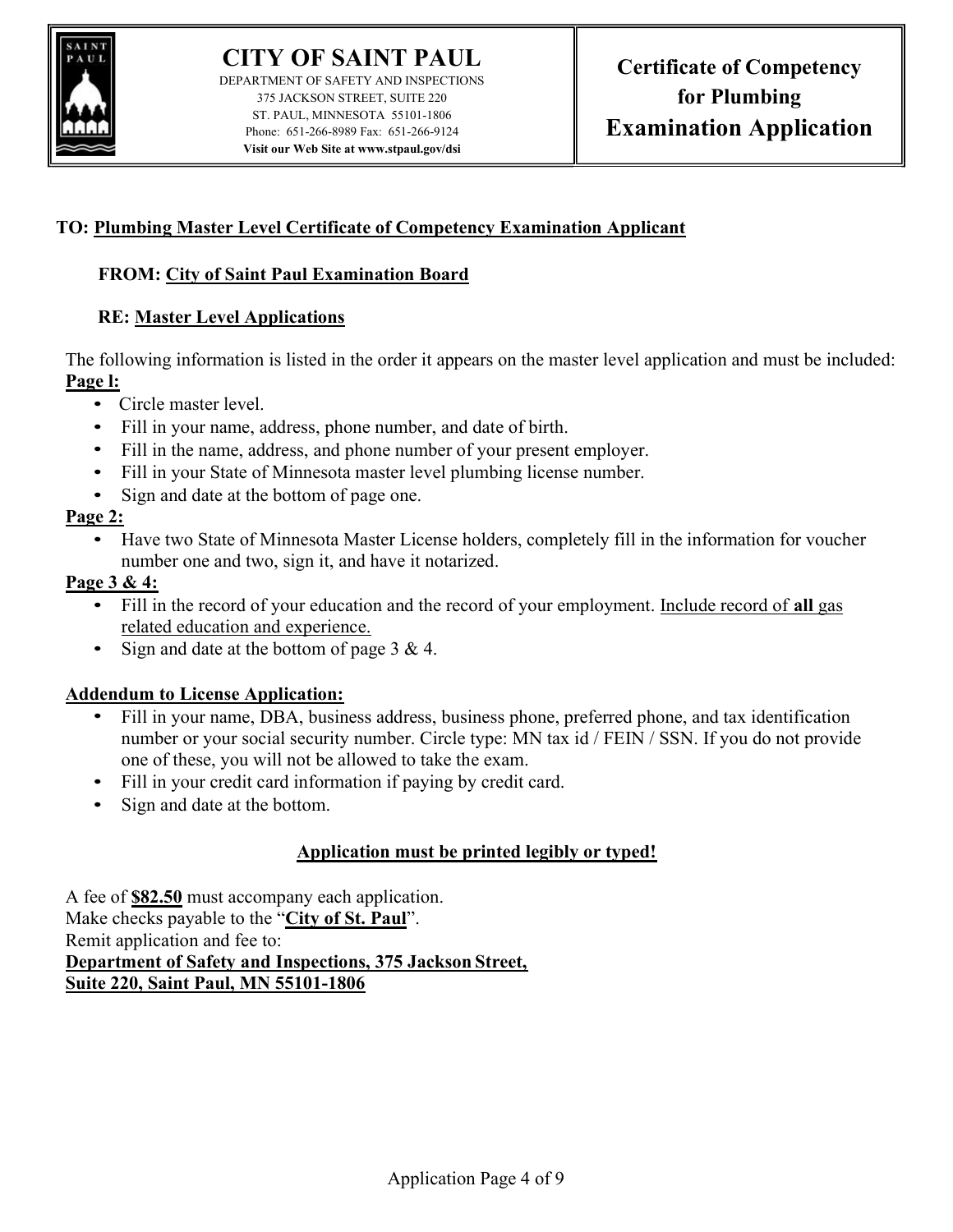

DEPARTMENT OF SAFETY AND INSPECTIONS 375 JACKSON STREET, SUITE 220 ST. PAUL, MINNESOTA 55101-1806 Phone: 651-266-8989 Fax: 651-266-9124 Visit our Web Site at www.stpaul.gov/dsi

### TO: Plumbing Master Level Certificate of Competency Examination Applicant

#### FROM: City of Saint Paul Examination Board

#### RE: Master Level Applications

The following information is listed in the order it appears on the master level application and must be included:

- 
- 
- **Page 1:**<br>
Circle master level.<br>
Fill in your name, address, phone number, and date of birth.<br>
Fill in the name, address, and phone number of your present employer.<br>
Fill in your State of Minnesota master level pl
	-
	-

Page 2:<br>• Have two State of Minnesota Master License holders, completely fill in the information for voucher number one and two, sign it, and have it notarized.

- **Page 3 & 4:**<br>• Fill in the record of your education and the record of your employment. Include record of all gas related education and experience.
	- Sign and date at the bottom of page  $3 & 4$ .

- Addendum to License Application:<br>• Fill in your name, DBA, business address, business phone, preferred phone, and tax identification number or your social security number. Circle type: MN tax id / FEIN / SSN. If you do not provide
	- one of these, you will not be allowed to take the exam.<br>• Fill in your credit card information if paying by credit card.<br>• Sign and date at the bottom.
	-

### Application must be printed legibly or typed!

A fee of \$82.50 must accompany each application. Make checks payable to the "City of St. Paul". Remit application and fee to: Department of Safety and Inspections, 375 Jackson Street, Suite 220, Saint Paul, MN 55101-1806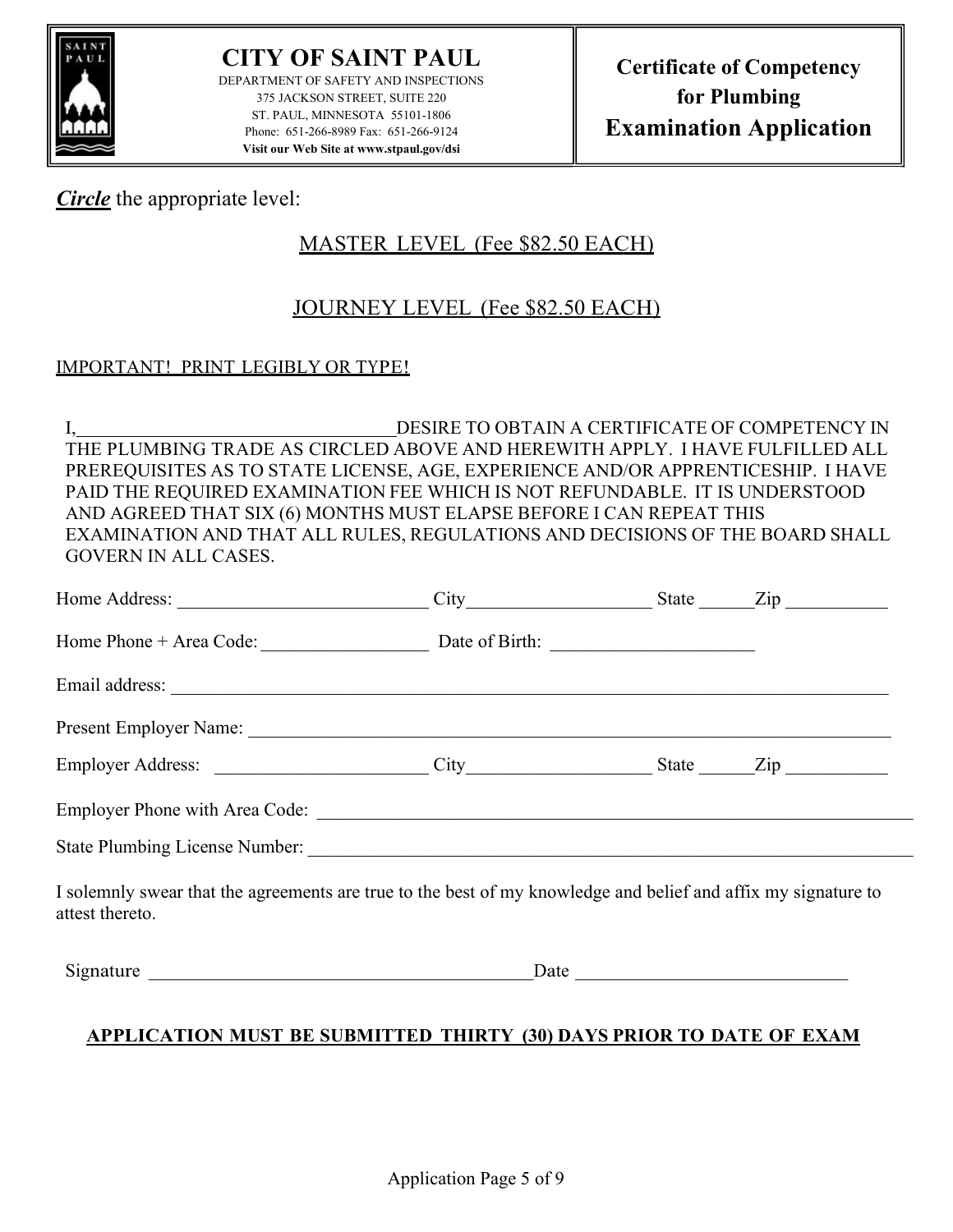

CITY OF SAINT PAUL DEPARTMENT OF SAFETY AND INSPECTIONS 375 JACKSON STREET, SUITE 220 ST. PAUL, MINNESOTA 55101-1806 Phone: 651-266-8989 Fax: 651-266-9124 Visit our Web Site at www.stpaul.gov/dsi

### Circle the appropriate level:

## MASTER LEVEL (Fee \$82.50 EACH)

## JOURNEY LEVEL (Fee \$82.50 EACH)

#### IMPORTANT! PRINT LEGIBLY OR TYPE!

I, DESIRE TO OBTAIN A CERTIFICATE OF COMPETENCY IN THE PLUMBING TRADE AS CIRCLED ABOVE AND HEREWITH APPLY. I HAVE FULFILLED ALL PREREQUISITES AS TO STATE LICENSE, AGE, EXPERIENCE AND/OR APPRENTICESHIP. I HAVE PAID THE REQUIRED EXAMINATION FEE WHICH IS NOT REFUNDABLE. IT IS UNDERSTOOD AND AGREED THAT SIX (6) MONTHS MUST ELAPSE BEFORE I CAN REPEAT THIS EXAMINATION AND THAT ALL RULES, REGULATIONS AND DECISIONS OF THE BOARD SHALL GOVERN IN ALL CASES.

| Home Phone + Area Code: Date of Birth: 2001                                                                                                                                                                                    |  |  |
|--------------------------------------------------------------------------------------------------------------------------------------------------------------------------------------------------------------------------------|--|--|
|                                                                                                                                                                                                                                |  |  |
| Present Employer Name: 1988 and 2008 and 2008 and 2008 and 2008 and 2008 and 2008 and 2008 and 2008 and 2008 and 2008 and 2008 and 2008 and 2008 and 2008 and 2008 and 2008 and 2008 and 2008 and 2008 and 2008 and 2008 and 2 |  |  |
|                                                                                                                                                                                                                                |  |  |
|                                                                                                                                                                                                                                |  |  |
|                                                                                                                                                                                                                                |  |  |
| I solemnly swear that the agreements are true to the best of my knowledge and belief and affix my signature to<br>attest thereto.                                                                                              |  |  |
|                                                                                                                                                                                                                                |  |  |
| A DDI LOATION MHAT DE AIDMITTED THIDTV (20) DAVA DDIOD TO DATE OF EVAM                                                                                                                                                         |  |  |

### APPLICATION MUST BE SUBMITTED THIRTY (30) DAYS PRIOR TO DATE OF EXAM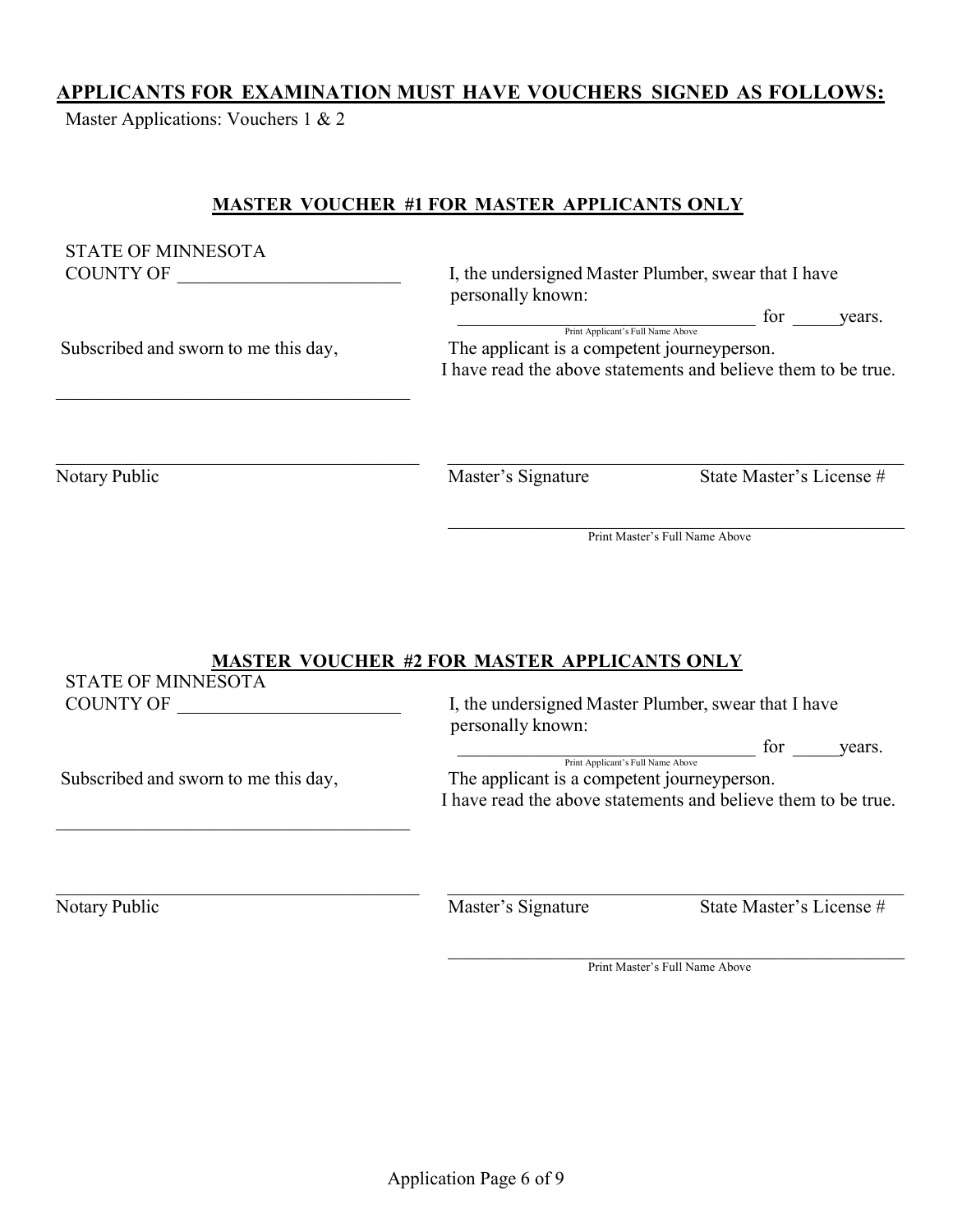#### APPLICANTS FOR EXAMINATION MUST HAVE VOUCHERS SIGNED AS FOLLOWS:

Master Applications: Vouchers 1 & 2

#### MASTER VOUCHER #1 FOR MASTER APPLICANTS ONLY

| <b>STATE OF MINNESOTA</b>            |                                                               |                                |        |
|--------------------------------------|---------------------------------------------------------------|--------------------------------|--------|
| COUNTY OF                            | I, the undersigned Master Plumber, swear that I have          |                                |        |
|                                      | personally known:                                             | for                            | vears. |
|                                      | Print Applicant's Full Name Above                             |                                |        |
| Subscribed and sworn to me this day, | The applicant is a competent journeyperson.                   |                                |        |
|                                      | I have read the above statements and believe them to be true. |                                |        |
|                                      |                                                               |                                |        |
| Notary Public                        | Master's Signature                                            | State Master's License #       |        |
|                                      |                                                               | Print Master's Full Name Above |        |
|                                      |                                                               |                                |        |
|                                      |                                                               |                                |        |
|                                      | <b>MASTER VOUCHER #2 FOR MASTER APPLICANTS ONLY</b>           |                                |        |
| <b>STATE OF MINNESOTA</b>            |                                                               |                                |        |
| COUNTV OF                            | I the undersigned Master Plumber, swear that I have           |                                |        |

| Subscribed and sworn to me this day, |  |  |  |  |
|--------------------------------------|--|--|--|--|

COUNTY OF **EXECUTE 2**, the undersigned Master Plumber, swear that I have personally known:

> for years. Print Applicant's Full Name Above

y, The applicant is a competent journeyperson. I have read the above statements and believe them to be true.

Notary Public Master's Signature State Master's License #

Print Master's Full Name Above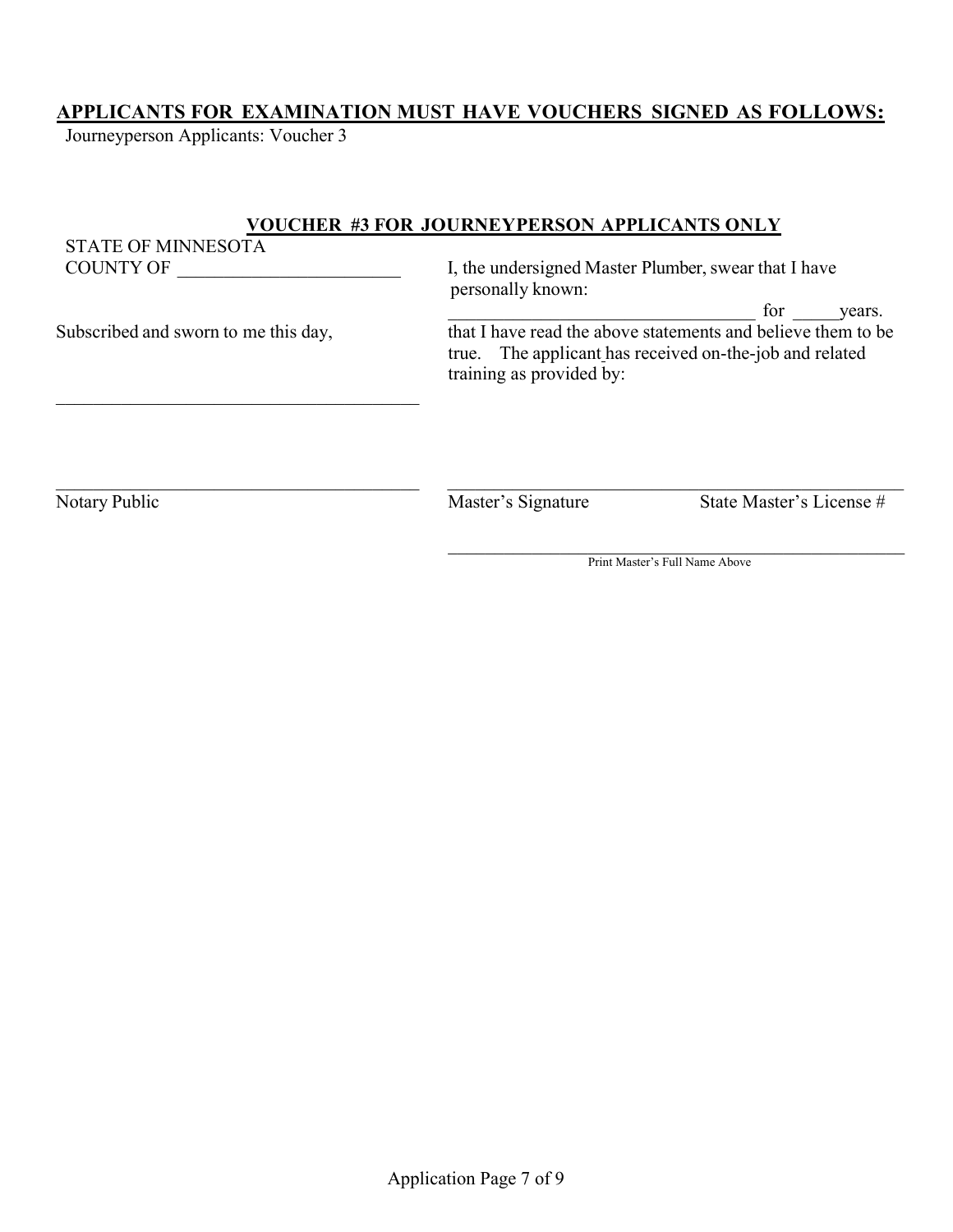### APPLICANTS FOR EXAMINATION MUST HAVE VOUCHERS SIGNED AS FOLLOWS:

Journeyperson Applicants: Voucher 3

#### VOUCHER #3 FOR JOURNEYPERSON APPLICANTS ONLY

STATE OF MINNESOTA<br>COUNTY OF I, the undersigned Master Plumber, swear that I have personally known: \_\_\_\_\_\_\_\_\_\_\_\_\_\_\_\_\_\_\_\_\_\_\_\_\_\_\_\_\_\_\_\_\_ for \_\_\_\_\_years. Subscribed and sworn to me this day, that I have read the above statements and believe them to be true. The applicant has received on-the-job and related training as provided by:

Notary Public Master's Signature State Master's License #

Print Master's Full Name Above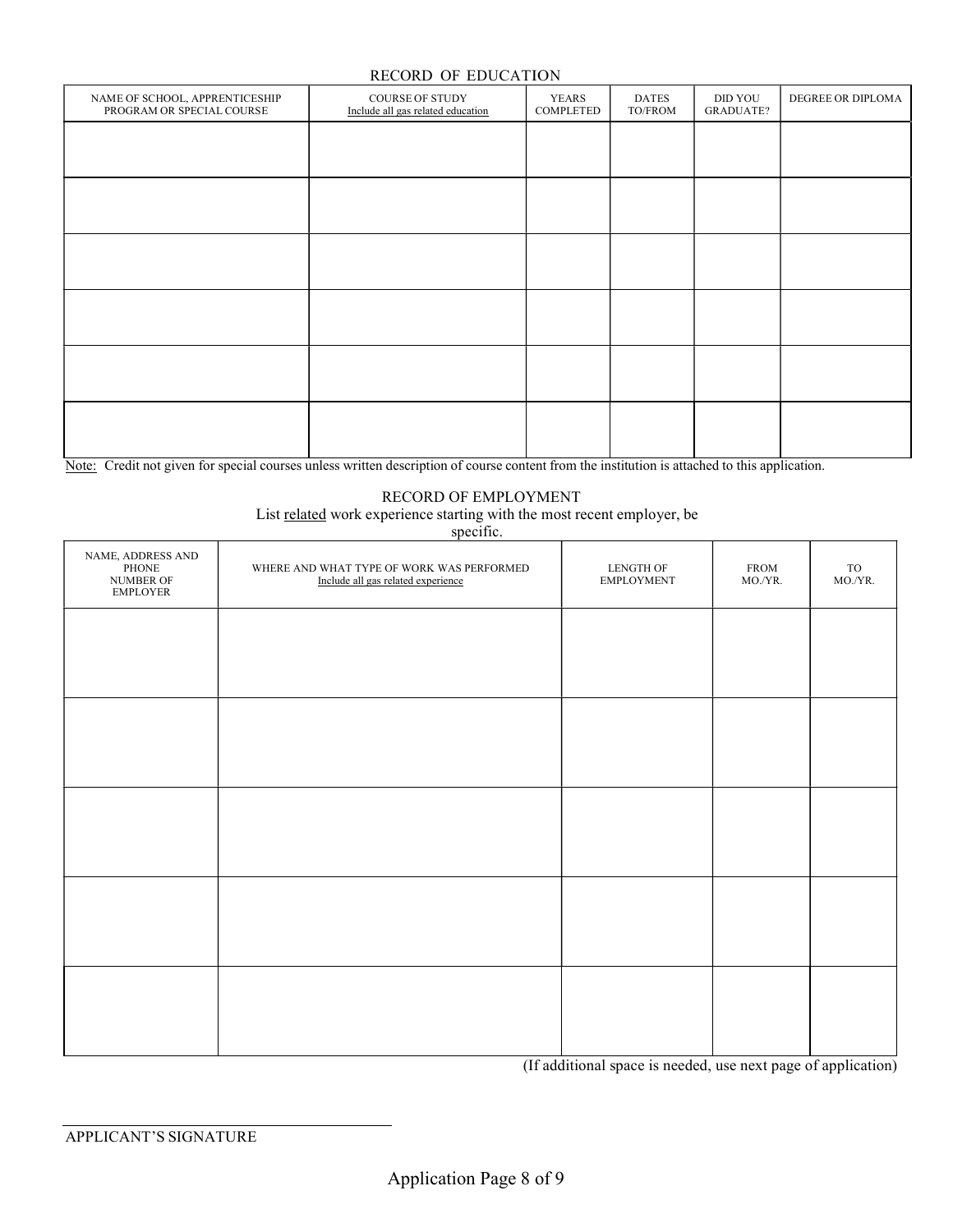#### RECORD OF EDUCATION

| RECORD OF EDUCATION                                         |                                                             |                           |                         |                             |                   |  |
|-------------------------------------------------------------|-------------------------------------------------------------|---------------------------|-------------------------|-----------------------------|-------------------|--|
| NAME OF SCHOOL, APPRENTICESHIP<br>PROGRAM OR SPECIAL COURSE | <b>COURSE OF STUDY</b><br>Include all gas related education | <b>YEARS</b><br>COMPLETED | <b>DATES</b><br>TO/FROM | DID YOU<br><b>GRADUATE?</b> | DEGREE OR DIPLOMA |  |
|                                                             |                                                             |                           |                         |                             |                   |  |
|                                                             |                                                             |                           |                         |                             |                   |  |
|                                                             |                                                             |                           |                         |                             |                   |  |
|                                                             |                                                             |                           |                         |                             |                   |  |
|                                                             |                                                             |                           |                         |                             |                   |  |
|                                                             |                                                             |                           |                         |                             |                   |  |
|                                                             |                                                             |                           |                         |                             |                   |  |
|                                                             |                                                             |                           |                         |                             |                   |  |
|                                                             |                                                             |                           |                         |                             |                   |  |
|                                                             |                                                             |                           |                         |                             |                   |  |
|                                                             |                                                             |                           |                         |                             |                   |  |
|                                                             |                                                             |                           |                         |                             |                   |  |

Note: Credit not given for special courses unless written description of course content from the institution is attached to this application.

#### RECORD OF EMPLOYMENT

List related work experience starting with the most recent employer, be

specific.

| WHERE AND WHAT TYPE OF WORK WAS PERFORMED<br>Include all gas related experience | LENGTH OF<br><b>EMPLOYMENT</b> | ${\rm FROM}$<br>MO./YR. | $_{\rm TO}$<br>MO./YR. |
|---------------------------------------------------------------------------------|--------------------------------|-------------------------|------------------------|
|                                                                                 |                                |                         |                        |
|                                                                                 |                                |                         |                        |
|                                                                                 |                                |                         |                        |
|                                                                                 |                                |                         |                        |
|                                                                                 |                                |                         |                        |
|                                                                                 |                                |                         |                        |
|                                                                                 |                                |                         |                        |
|                                                                                 |                                |                         |                        |
|                                                                                 |                                |                         |                        |
|                                                                                 |                                |                         |                        |
|                                                                                 |                                |                         |                        |

(If additional space is needed, use next page of application)